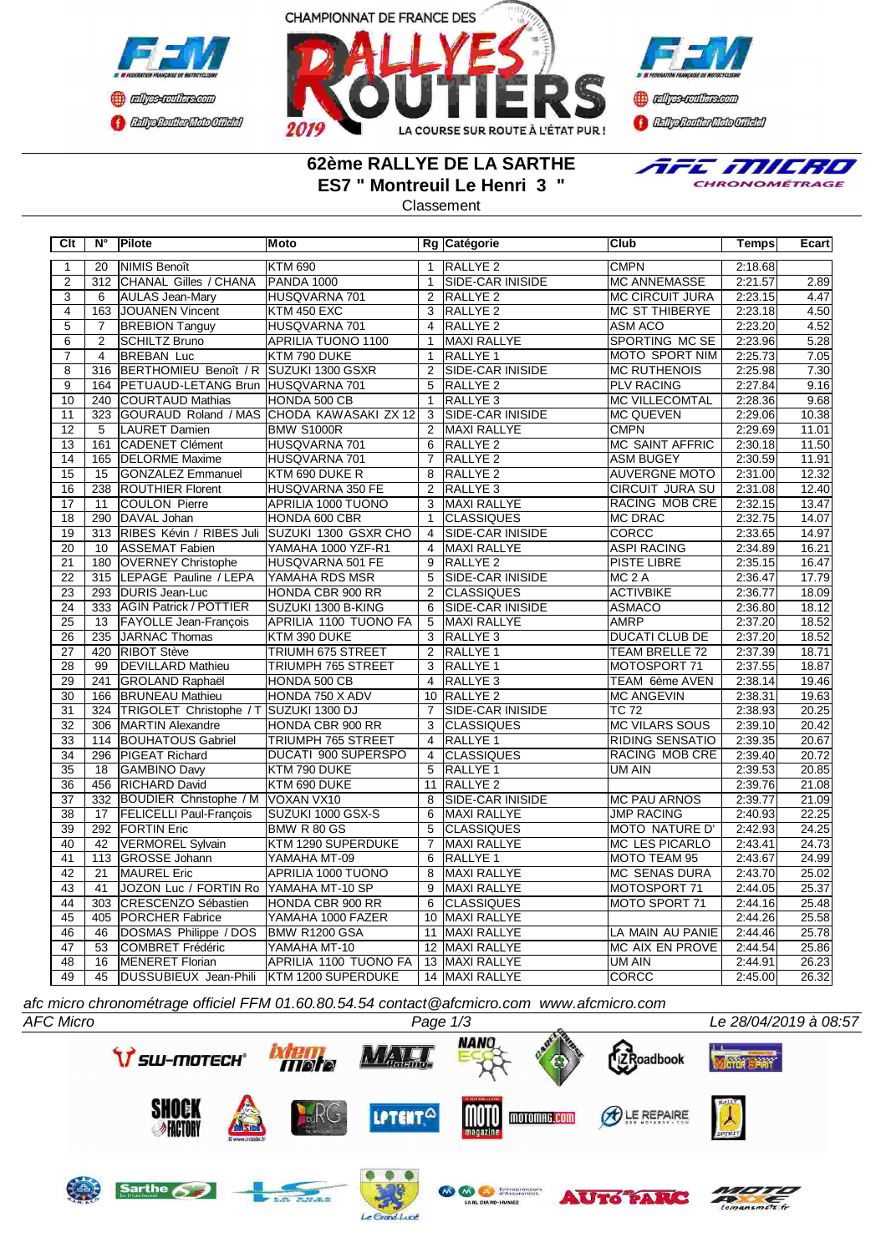



**)** algebraikessa **CENTRAL MEDICATE** 

## **62ème RALLYE DE LA SARTHE ES7 " Montreuil Le Henri 3 "**

E MILRO CHRONOMÉTRAGE

Classement

| $\overline{C}$ It | $N^{\circ}$      | Pilote                                 | <b>Moto</b>                               |                 | Rg Catégorie            | <b>Club</b>            | <b>Temps</b> | Ecart |
|-------------------|------------------|----------------------------------------|-------------------------------------------|-----------------|-------------------------|------------------------|--------------|-------|
| $\mathbf{1}$      | 20               | NIMIS Benoît                           | <b>KTM 690</b>                            | $\mathbf{1}$    | RALLYE <sub>2</sub>     | <b>CMPN</b>            | 2:18.68      |       |
| $\overline{2}$    | 312              | CHANAL Gilles / CHANA                  | <b>PANDA 1000</b>                         | $\mathbf{1}$    | <b>SIDE-CAR INISIDE</b> | <b>MC ANNEMASSE</b>    | 2:21.57      | 2.89  |
| 3                 | 6                | <b>AULAS Jean-Mary</b>                 | HUSQVARNA 701                             | $\overline{2}$  | RALLYE <sub>2</sub>     | <b>MC CIRCUIT JURA</b> | 2:23.15      | 4.47  |
| $\overline{4}$    | 163              | JOUANEN Vincent                        | <b>KTM 450 EXC</b>                        | 3               | RALLYE <sub>2</sub>     | MC ST THIBERYE         | 2:23.18      | 4.50  |
| $\overline{5}$    | 7                | <b>BREBION Tanguy</b>                  | HUSQVARNA 701                             | $\overline{4}$  | RALLYE <sub>2</sub>     | <b>ASM ACO</b>         | 2:23.20      | 4.52  |
| $\overline{6}$    | $\overline{2}$   | <b>SCHILTZ Bruno</b>                   | <b>APRILIA TUONO 1100</b>                 | $\mathbf{1}$    | <b>MAXI RALLYE</b>      | SPORTING MC SE         | 2:23.96      | 5.28  |
| $\overline{7}$    | $\overline{4}$   | <b>BREBAN Luc</b>                      | KTM 790 DUKE                              | $\mathbf{1}$    | RALLYE <sub>1</sub>     | MOTO SPORT NIM         | 2:25.73      | 7.05  |
| $\overline{8}$    | $\overline{316}$ | BERTHOMIEU Benoît / R SUZUKI 1300 GSXR |                                           | $\overline{2}$  | SIDE-CAR INISIDE        | <b>MC RUTHENOIS</b>    | 2:25.98      | 7.30  |
| $\overline{9}$    | 164              | PETUAUD-LETANG Brun HUSQVARNA 701      |                                           | 5               | <b>RALLYE 2</b>         | <b>PLV RACING</b>      | 2:27.84      | 9.16  |
| 10                | 240              | <b>COURTAUD Mathias</b>                | HONDA 500 CB                              | $\overline{1}$  | RALLYE <sub>3</sub>     | <b>MC VILLECOMTAL</b>  | 2:28.36      | 9.68  |
| 11                | $\overline{323}$ |                                        | GOURAUD Roland / MAS CHODA KAWASAKI ZX 12 | 3               | <b>SIDE-CAR INISIDE</b> | <b>MC QUEVEN</b>       | 2:29.06      | 10.38 |
| $\overline{12}$   | $\overline{5}$   | LAURET Damien                          | <b>BMW S1000R</b>                         | $\overline{2}$  | <b>MAXI RALLYE</b>      | <b>CMPN</b>            | 2:29.69      | 11.01 |
| 13                | 161              | CADENET Clément                        | HUSQVARNA 701                             | 6               | RALLYE <sub>2</sub>     | <b>MC SAINT AFFRIC</b> | 2:30.18      | 11.50 |
| 14                | 165              | <b>DELORME</b> Maxime                  | HUSQVARNA 701                             | $\overline{7}$  | RALLYE <sub>2</sub>     | <b>ASM BUGEY</b>       | 2:30.59      | 11.91 |
| $\overline{15}$   | 15               | GONZALEZ Emmanuel                      | KTM 690 DUKE R                            | 8               | <b>RALLYE 2</b>         | <b>AUVERGNE MOTO</b>   | 2:31.00      | 12.32 |
| $\overline{16}$   | 238              | <b>ROUTHIER Florent</b>                | HUSQVARNA 350 FE                          | $\overline{2}$  | RALLYE <sub>3</sub>     | CIRCUIT JURA SU        | 2:31.08      | 12.40 |
| $\overline{17}$   | 11               | COULON Pierre                          | APRILIA 1000 TUONO                        | 3               | MAXI RALLYE             | RACING MOB CRE         | 2:32.15      | 13.47 |
| $\overline{18}$   | 290              | DAVAL Johan                            | HONDA 600 CBR                             | $\mathbf{1}$    | <b>CLASSIQUES</b>       | <b>MC DRAC</b>         | 2:32.75      | 14.07 |
| $\overline{19}$   | 313              | RIBES Kévin / RIBES Juli               | SUZUKI 1300 GSXR CHO                      | $\overline{4}$  | SIDE-CAR INISIDE        | <b>CORCC</b>           | 2:33.65      | 14.97 |
| $\overline{20}$   | 10               | <b>ASSEMAT Fabien</b>                  | YAMAHA 1000 YZF-R1                        | 4               | MAXI RALLYE             | <b>ASPI RACING</b>     | 2:34.89      | 16.21 |
| $\overline{21}$   | 180              | <b>OVERNEY Christophe</b>              | HUSQVARNA 501 FE                          | $\overline{9}$  | <b>RALLYE 2</b>         | <b>PISTE LIBRE</b>     | 2:35.15      | 16.47 |
| $\overline{22}$   | 315              | LEPAGE Pauline / LEPA                  | YAMAHA RDS MSR                            | $5\overline{)}$ | <b>SIDE-CAR INISIDE</b> | MC <sub>2</sub> A      | 2:36.47      | 17.79 |
| 23                | 293              | <b>DURIS Jean-Luc</b>                  | <b>HONDA CBR 900 RR</b>                   | $\overline{2}$  | <b>CLASSIQUES</b>       | <b>ACTIVBIKE</b>       | 2:36.77      | 18.09 |
| $\overline{24}$   | $\overline{333}$ | <b>AGIN Patrick / POTTIER</b>          | SUZUKI 1300 B-KING                        | 6               | SIDE-CAR INISIDE        | <b>ASMACO</b>          | 2:36.80      | 18.12 |
| $\overline{25}$   | 13               | <b>FAYOLLE Jean-François</b>           | <b>APRILIA 1100 TUONO FA</b>              | $\overline{5}$  | <b>MAXI RALLYE</b>      | <b>AMRP</b>            | 2:37.20      | 18.52 |
| 26                | 235              | JARNAC Thomas                          | KTM 390 DUKE                              | $\overline{3}$  | RALLYE <sub>3</sub>     | <b>DUCATI CLUB DE</b>  | 2:37.20      | 18.52 |
| $\overline{27}$   | 420              | <b>RIBOT Stève</b>                     | TRIUMH 675 STREET                         |                 | 2 RALLYE 1              | TEAM BRELLE 72         | 2:37.39      | 18.71 |
| $\overline{28}$   | 99               | <b>DEVILLARD Mathieu</b>               | TRIUMPH 765 STREET                        | 3               | RALLYE <sub>1</sub>     | MOTOSPORT 71           | 2:37.55      | 18.87 |
| 29                | 241              | GROLAND Raphaël                        | HONDA 500 CB                              | $\overline{4}$  | RALLYE <sub>3</sub>     | TEAM 6ème AVEN         | 2:38.14      | 19.46 |
| 30                | 166              | <b>BRUNEAU Mathieu</b>                 | HONDA 750 X ADV                           | 10 <sup>°</sup> | RALLYE <sub>2</sub>     | <b>MC ANGEVIN</b>      | 2:38.31      | 19.63 |
| 31                | 324              | TRIGOLET Christophe / T SUZUKI 1300 DJ |                                           | $\overline{7}$  | SIDE-CAR INISIDE        | <b>TC 72</b>           | 2:38.93      | 20.25 |
| 32                | 306              | MARTIN Alexandre                       | HONDA CBR 900 RR                          | 3               | <b>CLASSIQUES</b>       | <b>MC VILARS SOUS</b>  | 2:39.10      | 20.42 |
| 33                | 114              | <b>BOUHATOUS Gabriel</b>               | <b>TRIUMPH 765 STREET</b>                 | $\overline{4}$  | <b>RALLYE 1</b>         | <b>RIDING SENSATIO</b> | 2:39.35      | 20.67 |
| $\overline{34}$   | 296              | <b>PIGEAT Richard</b>                  | <b>DUCATI 900 SUPERSPO</b>                | $\overline{4}$  | <b>CLASSIQUES</b>       | RACING MOB CRE         | 2:39.40      | 20.72 |
| $\overline{35}$   | 18               | GAMBINO Davy                           | KTM 790 DUKE                              | $\overline{5}$  | RALLYE <sub>1</sub>     | UM AIN                 | 2:39.53      | 20.85 |
| 36                | 456              | <b>RICHARD David</b>                   | KTM 690 DUKE                              |                 | 11 RALLYE 2             |                        | 2:39.76      | 21.08 |
| $\overline{37}$   | 332              | BOUDIER Christophe / M VOXAN VX10      |                                           | 8               | <b>SIDE-CAR INISIDE</b> | <b>MC PAU ARNOS</b>    | 2:39.77      | 21.09 |
| $\overline{38}$   | 17               | <b>FELICELLI Paul-François</b>         | SUZUKI 1000 GSX-S                         | $\overline{6}$  | <b>MAXI RALLYE</b>      | <b>JMP RACING</b>      | 2:40.93      | 22.25 |
| 39                | 292              | <b>FORTIN</b> Eric                     | BMW R 80 GS                               | 5               | <b>CLASSIQUES</b>       | <b>MOTO NATURE D'</b>  | 2:42.93      | 24.25 |
| 40                | 42               | <b>VERMOREL Sylvain</b>                | KTM 1290 SUPERDUKE                        | $\overline{7}$  | MAXI RALLYE             | <b>MC LES PICARLO</b>  | 2:43.41      | 24.73 |
| 41                | 113              | GROSSE Johann                          | YAMAHA MT-09                              | 6               | RALLYE <sub>1</sub>     | MOTO TEAM 95           | 2:43.67      | 24.99 |
| 42                | 21               | MAUREL Eric                            | APRILIA 1000 TUONO                        | 8               | <b>MAXI RALLYE</b>      | MC SENAS DURA          | 2:43.70      | 25.02 |
| 43                | 41               | JOZON Luc / FORTIN Ro YAMAHA MT-10 SP  |                                           | 9               | MAXI RALLYE             | MOTOSPORT 71           | 2:44.05      | 25.37 |
| 44                | 303              | CRESCENZO Sébastien                    | HONDA CBR 900 RR                          | 6               | <b>CLASSIQUES</b>       | MOTO SPORT 71          | 2:44.16      | 25.48 |
| 45                | 405              | <b>PORCHER Fabrice</b>                 | YAMAHA 1000 FAZER                         |                 | 10 MAXI RALLYE          |                        | 2:44.26      | 25.58 |
| 46                | 46               | DOSMAS Philippe / DOS                  | BMW R1200 GSA                             |                 | 11 MAXI RALLYE          | LA MAIN AU PANIE       | 2:44.46      | 25.78 |
| 47                | 53               | COMBRET Frédéric                       | YAMAHA MT-10                              |                 | 12 MAXI RALLYE          | MC AIX EN PROVE        | 2:44.54      | 25.86 |
| 48                | 16               | MENERET Florian                        | APRILIA 1100 TUONO FA                     |                 | 13 MAXI RALLYE          | <b>UM AIN</b>          | 2:44.91      | 26.23 |
| 49                | 45               | DUSSUBIEUX Jean-Phili                  | KTM 1200 SUPERDUKE                        |                 | 14 MAXI RALLYE          | CORCC                  | 2:45.00      | 26.32 |

*afc micro chronométrage officiel FFM 01.60.80.54.54 contact@afcmicro.com www.afcmicro.com*

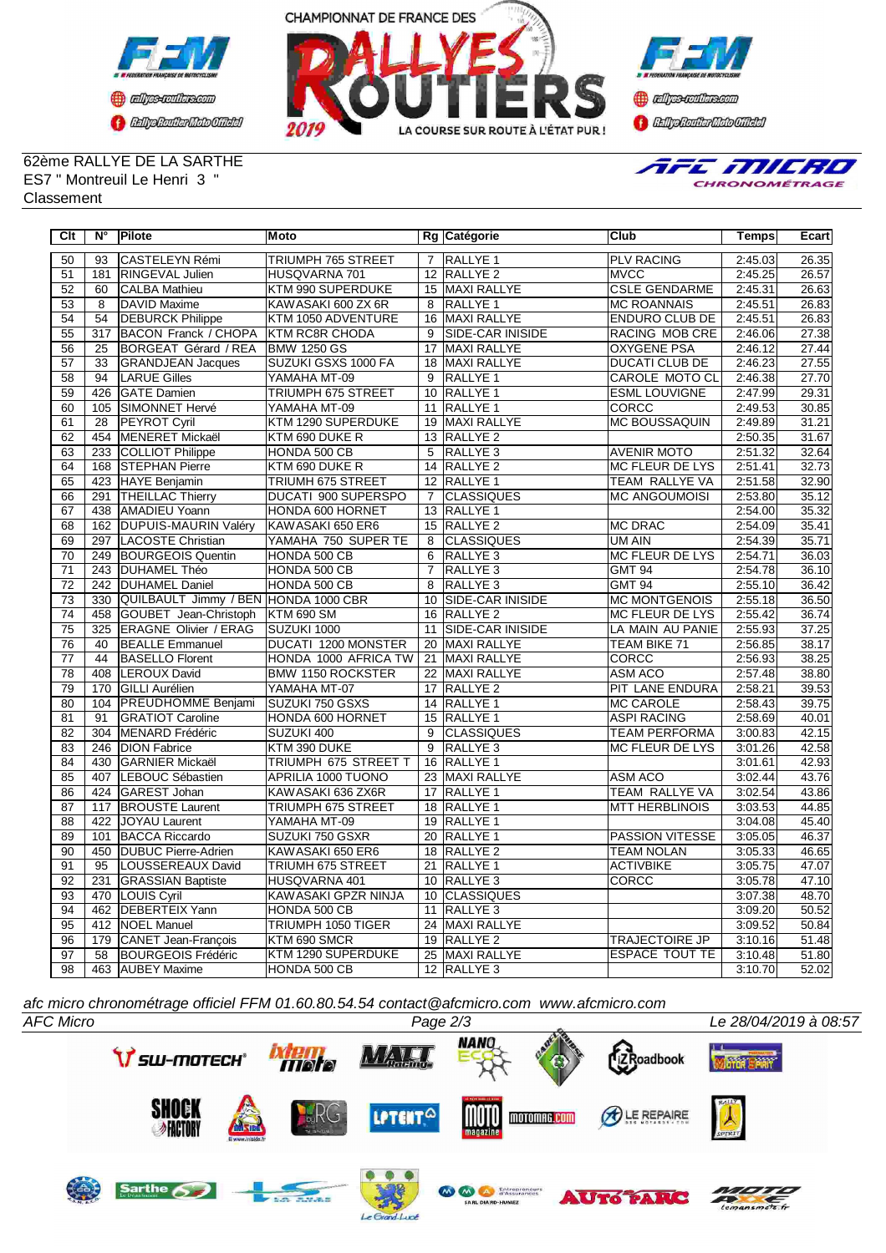



**Confederation Complementation** 

## 62ème RALLYE DE LA SARTHE ES7 " Montreuil Le Henri 3 " **Classement**



| Clt             | $N^{\circ}$     | Pilote                               | Moto                       |                 | Rg Catégorie            | Club                   | <b>Temps</b> | <b>Ecart</b> |
|-----------------|-----------------|--------------------------------------|----------------------------|-----------------|-------------------------|------------------------|--------------|--------------|
| 50              | 93              | <b>CASTELEYN Rémi</b>                | TRIUMPH 765 STREET         |                 | 7 RALLYE 1              | <b>PLV RACING</b>      | 2:45.03      | 26.35        |
| 51              | 181             | RINGEVAL Julien                      | HUSQVARNA 701              |                 | 12 RALLYE 2             | <b>MVCC</b>            | 2:45.25      | 26.57        |
| $\overline{52}$ | 60              | <b>CALBA Mathieu</b>                 | KTM 990 SUPERDUKE          |                 | 15 MAXI RALLYE          | <b>CSLE GENDARME</b>   | 2:45.31      | 26.63        |
| 53              | 8               | DAVID Maxime                         | KAWASAKI 600 ZX 6R         | 8               | <b>RALLYE 1</b>         | <b>MC ROANNAIS</b>     | 2:45.51      | 26.83        |
| 54              | $\overline{54}$ | <b>DEBURCK Philippe</b>              | KTM 1050 ADVENTURE         | $\overline{16}$ | <b>MAXI RALLYE</b>      | <b>ENDURO CLUB DE</b>  | 2:45.51      | 26.83        |
| 55              | 317             | <b>BACON Franck / CHOPA</b>          | <b>KTM RC8R CHODA</b>      | 9               | <b>SIDE-CAR INISIDE</b> | RACING MOB CRE         | 2:46.06      | 27.38        |
| 56              | 25              | BORGEAT Gérard / REA                 | <b>BMW 1250 GS</b>         | 17              | <b>MAXI RALLYE</b>      | <b>OXYGENE PSA</b>     | 2:46.12      | 27.44        |
| 57              | $\overline{33}$ | <b>GRANDJEAN Jacques</b>             | SUZUKI GSXS 1000 FA        | 18              | <b>MAXI RALLYE</b>      | <b>DUCATI CLUB DE</b>  | 2:46.23      | 27.55        |
| $\overline{58}$ | 94              | <b>LARUE Gilles</b>                  | YAMAHA MT-09               | 9               | RALLYE 1                | CAROLE MOTO CL         | 2:46.38      | 27.70        |
| $\overline{59}$ | 426             | GATE Damien                          | <b>TRIUMPH 675 STREET</b>  | 10              | <b>RALLYE 1</b>         | <b>ESML LOUVIGNE</b>   | 2:47.99      | 29.31        |
| 60              | 105             | SIMONNET Hervé                       | YAMAHA MT-09               |                 | 11 RALLYE 1             | CORCC                  | 2:49.53      | 30.85        |
| 61              | 28              | PEYROT Cyril                         | KTM 1290 SUPERDUKE         | 19              | <b>MAXI RALLYE</b>      | <b>MC BOUSSAQUIN</b>   | 2:49.89      | 31.21        |
| 62              | 454             | <b>MENERET Mickaël</b>               | KTM 690 DUKE R             |                 | 13 RALLYE 2             |                        | 2:50.35      | 31.67        |
| 63              | 233             | COLLIOT Philippe                     | HONDA 500 CB               | 5               | RALLYE <sub>3</sub>     | <b>AVENIR MOTO</b>     | 2:51.32      | 32.64        |
| 64              | 168             | <b>STEPHAN Pierre</b>                | KTM 690 DUKE R             |                 | 14 RALLYE 2             | <b>MC FLEUR DE LYS</b> | 2:51.41      | 32.73        |
| 65              | 423             | HAYE Benjamin                        | TRIUMH 675 STREET          | 12              | <b>RALLYE 1</b>         | TEAM RALLYE VA         | 2:51.58      | 32.90        |
| 66              | 291             | <b>THEILLAC Thierry</b>              | DUCATI 900 SUPERSPO        | $\overline{7}$  | <b>CLASSIQUES</b>       | <b>MC ANGOUMOISI</b>   | 2:53.80      | 35.12        |
| 67              | 438             | <b>AMADIEU Yoann</b>                 | HONDA 600 HORNET           |                 | 13 RALLYE 1             |                        | 2:54.00      | 35.32        |
| 68              | 162             | DUPUIS-MAURIN Valéry                 | KAWASAKI 650 ER6           |                 | 15 RALLYE 2             | <b>MC DRAC</b>         | 2:54.09      | 35.41        |
| 69              | 297             | LACOSTE Christian                    | YAMAHA 750 SUPER TE        | 8               | <b>CLASSIQUES</b>       | UM AIN                 | 2:54.39      | 35.71        |
| $\overline{70}$ | 249             | <b>BOURGEOIS Quentin</b>             | HONDA 500 CB               | 6               | RALLYE <sub>3</sub>     | <b>MC FLEUR DE LYS</b> | 2:54.71      | 36.03        |
| $\overline{71}$ | 243             | <b>DUHAMEL Théo</b>                  | HONDA 500 CB               | $\overline{7}$  | RALLYE <sub>3</sub>     | <b>GMT 94</b>          | 2:54.78      | 36.10        |
| $\overline{72}$ | 242             | <b>DUHAMEL Daniel</b>                | HONDA 500 CB               | 8               | RALLYE <sub>3</sub>     | <b>GMT 94</b>          | 2:55.10      | 36.42        |
| 73              | 330             | QUILBAULT Jimmy / BEN HONDA 1000 CBR |                            | 10              | <b>SIDE-CAR INISIDE</b> | <b>MC MONTGENOIS</b>   | 2:55.18      | 36.50        |
| $\overline{74}$ | 458             | GOUBET Jean-Christoph                | <b>KTM 690 SM</b>          | 16              | <b>RALLYE 2</b>         | <b>MC FLEUR DE LYS</b> | 2:55.42      | 36.74        |
| $\overline{75}$ | 325             | <b>ERAGNE Olivier / ERAG</b>         | SUZUKI 1000                | 11              | <b>SIDE-CAR INISIDE</b> | LA MAIN AU PANIE       | 2:55.93      | 37.25        |
| 76              | 40              | <b>BEALLE Emmanuel</b>               | <b>DUCATI 1200 MONSTER</b> | 20              | MAXI RALLYE             | <b>TEAM BIKE 71</b>    | 2:56.85      | 38.17        |
| $\overline{77}$ | 44              | <b>BASELLO Florent</b>               | HONDA 1000 AFRICA TW       |                 | 21 MAXI RALLYE          | <b>CORCC</b>           | 2:56.93      | 38.25        |
| $\overline{78}$ | 408             | LEROUX David                         | <b>BMW 1150 ROCKSTER</b>   |                 | 22 MAXI RALLYE          | <b>ASM ACO</b>         | 2:57.48      | 38.80        |
| 79              | 170             | <b>GILLI Aurélien</b>                | YAMAHA MT-07               |                 | 17 RALLYE 2             | PIT LANE ENDURA        | 2:58.21      | 39.53        |
| 80              | 104             | <b>PREUDHOMME Benjami</b>            | SUZUKI 750 GSXS            |                 | 14 RALLYE 1             | <b>MC CAROLE</b>       | 2:58.43      | 39.75        |
| $\overline{81}$ | 91              | <b>GRATIOT Caroline</b>              | HONDA 600 HORNET           |                 | 15 RALLYE 1             | <b>ASPI RACING</b>     | 2:58.69      | 40.01        |
| 82              | 304             | MENARD Frédéric                      | SUZUKI 400                 | 9               | <b>CLASSIQUES</b>       | <b>TEAM PERFORMA</b>   | 3:00.83      | 42.15        |
| 83              | 246             | <b>IDION Fabrice</b>                 | KTM 390 DUKE               | 9               | <b>RALLYE 3</b>         | MC FLEUR DE LYS        | 3:01.26      | 42.58        |
| 84              | 430             | <b>GARNIER Mickaël</b>               | TRIUMPH 675 STREET T       | $\overline{16}$ | <b>RALLYE 1</b>         |                        | 3:01.61      | 42.93        |
| 85              | 407             | LEBOUC Sébastien                     | APRILIA 1000 TUONO         |                 | 23 MAXI RALLYE          | <b>ASM ACO</b>         | 3:02.44      | 43.76        |
| 86              | 424             | <b>GAREST Johan</b>                  | KAWASAKI 636 ZX6R          | 17              | <b>RALLYE 1</b>         | <b>TEAM RALLYE VA</b>  | 3:02.54      | 43.86        |
| 87              | 117             | <b>BROUSTE Laurent</b>               | TRIUMPH 675 STREET         |                 | 18 RALLYE 1             | <b>MTT HERBLINOIS</b>  | 3:03.53      | 44.85        |
| $\overline{88}$ | 422             | JOYAU Laurent                        | YAMAHA MT-09               |                 | 19 RALLYE 1             |                        | 3:04.08      | 45.40        |
| 89              | 101             | <b>BACCA Riccardo</b>                | SUZUKI 750 GSXR            |                 | 20 RALLYE 1             | <b>PASSION VITESSE</b> | 3:05.05      | 46.37        |
| $\overline{90}$ | 450             | <b>DUBUC Pierre-Adrien</b>           | KAWASAKI 650 ER6           |                 | 18 RALLYE 2             | <b>TEAM NOLAN</b>      | 3:05.33      | 46.65        |
| 91              | $\overline{95}$ | LOUSSEREAUX David                    | TRIUMH 675 STREET          |                 | 21 RALLYE 1             | <b>ACTIVBIKE</b>       | 3:05.75      | 47.07        |
| 92              | 231             | <b>GRASSIAN Baptiste</b>             | HUSQVARNA 401              |                 | 10 RALLYE 3             | CORCC                  | 3:05.78      | 47.10        |
| 93              | 470             | LOUIS Cyril                          | KAWASAKI GPZR NINJA        |                 | 10 CLASSIQUES           |                        | 3:07.38      | 48.70        |
| 94              | 462             | <b>DEBERTEIX Yann</b>                | HONDA 500 CB               | 11              | <b>RALLYE 3</b>         |                        | 3:09.20      | 50.52        |
| 95              | 412             | <b>NOEL Manuel</b>                   | <b>TRIUMPH 1050 TIGER</b>  |                 | 24 MAXI RALLYE          |                        | 3:09.52      | 50.84        |
| 96              | 179             | CANET Jean-François                  | KTM 690 SMCR               |                 | 19 RALLYE 2             | <b>TRAJECTOIRE JP</b>  | 3:10.16      | 51.48        |
| 97              | 58              | <b>BOURGEOIS Frédéric</b>            | KTM 1290 SUPERDUKE         |                 | 25 MAXI RALLYE          | <b>ESPACE TOUT TE</b>  | 3:10.48      | 51.80        |
| 98              |                 | 463 AUBEY Maxime                     | HONDA 500 CB               |                 | 12 RALLYE 3             |                        | 3:10.70      | 52.02        |

*afc micro chronométrage officiel FFM 01.60.80.54.54 contact@afcmicro.com www.afcmicro.com*